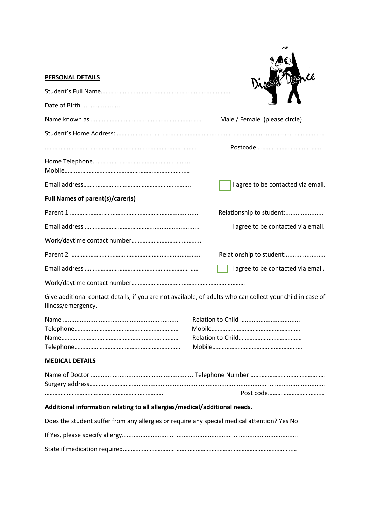| <b>PERSONAL DETAILS</b>                                                                                                          | Direct Dance                       |
|----------------------------------------------------------------------------------------------------------------------------------|------------------------------------|
|                                                                                                                                  |                                    |
| Date of Birth                                                                                                                    |                                    |
|                                                                                                                                  | Male / Female (please circle)      |
|                                                                                                                                  |                                    |
|                                                                                                                                  |                                    |
|                                                                                                                                  |                                    |
|                                                                                                                                  | I agree to be contacted via email. |
| <b>Full Names of parent(s)/carer(s)</b>                                                                                          |                                    |
|                                                                                                                                  | Relationship to student:           |
|                                                                                                                                  | I agree to be contacted via email. |
|                                                                                                                                  |                                    |
|                                                                                                                                  | Relationship to student:           |
|                                                                                                                                  | I agree to be contacted via email. |
|                                                                                                                                  |                                    |
| Give additional contact details, if you are not available, of adults who can collect your child in case of<br>illness/emergency. |                                    |
|                                                                                                                                  | Relation to Child                  |
| <b>MEDICAL DETAILS</b>                                                                                                           |                                    |
|                                                                                                                                  |                                    |
|                                                                                                                                  |                                    |
| Additional information relating to all allergies/medical/additional needs.                                                       |                                    |
| Does the student suffer from any allergies or require any special medical attention? Yes No                                      |                                    |
|                                                                                                                                  |                                    |
|                                                                                                                                  |                                    |